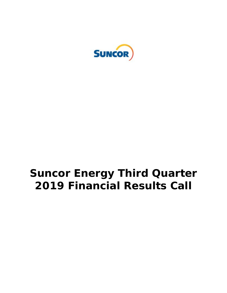

# **Suncor Energy Third Quarter 2019 Financial Results Call**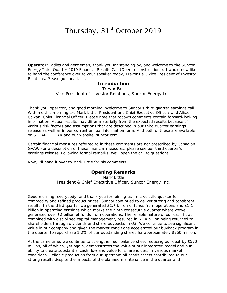**Operator:** Ladies and gentlemen, thank you for standing by, and welcome to the Suncor Energy Third Quarter 2019 Financial Results Call (Operator Instructions). I would now like to hand the conference over to your speaker today, Trevor Bell, Vice President of Investor Relations. Please go ahead, sir.

### **Introduction**

Trevor Bell *Vice President of Investor Relations, Suncor Energy Inc.*

Thank you, operator, and good morning. Welcome to Suncor's third quarter earnings call. With me this morning are Mark Little, President and Chief Executive Officer; and Alister Cowan, Chief Financial Officer. Please note that today's comments contain forward-looking information. Actual results may differ materially from the expected results because of various risk factors and assumptions that are described in our third quarter earnings release as well as in our current annual information form. And both of these are available on SEDAR, EDGAR and our website, suncor.com.

Certain financial measures referred to in these comments are not prescribed by Canadian GAAP. For a description of these financial measures, please see our third quarter's earnings release. Following formal remarks, we'll open the call to questions.

Now, I'll hand it over to Mark Little for his comments.

### **Opening Remarks**

Mark Little *President & Chief Executive Officer, Suncor Energy Inc.*

Good morning, everybody, and thank you for joining us. In a volatile quarter for commodity and refined product prices, Suncor continued to deliver strong and consistent results. In the third quarter we generated \$2.7 billion of funds from operations and \$1.1 billion in operating earnings which marks the ninth consecutive quarter where we've generated over \$2 billion of funds from operations. The reliable nature of our cash flow, combined with disciplined capital management, resulted in \$1.4 billion being returned to shareholders through dividends and share buybacks in Q3. We continue to see significant value in our company and given the market conditions accelerated our buyback program in the quarter to repurchase 1.2% of our outstanding shares for approximately \$760 million.

At the same time, we continue to strengthen our balance sheet reducing our debt by \$570 million, all of which, yet again, demonstrates the value of our integrated model and our ability to create substantial cash flow and value for shareholders in various market conditions. Reliable production from our upstream oil sands assets contributed to our strong results despite the impacts of the planned maintenance in the quarter and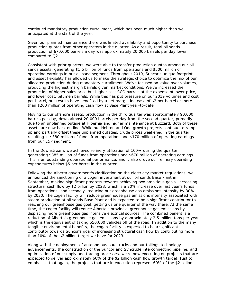continued mandatory production curtailment, which has been much higher than we anticipated at the start of the year.

Given our planned maintenance there was limited availability and opportunity to purchase production quotas from other operators in the quarter. As a result, total oil sands production of 670,000 barrels a day was approximately 20,000 barrels per day lower compared to Q2.

Consistent with prior quarters, we were able to transfer production quotas among our oil sands assets, generating \$1.6 billion of funds from operations and \$500 million of operating earnings in our oil sand segment. Throughout 2019, Suncor's unique footprint and asset flexibility has allowed us to make the strategic choice to optimize the mix of our allocated production during mandatory curtailment. We've focused on value over volumes, producing the highest margin barrels given market conditions. We've increased the production of higher sales price but higher cost SCO barrels at the expense of lower price, and lower cost, bitumen barrels. While this has put pressure on our 2019 volumes and cost per barrel, our results have benefited by a net margin increase of \$2 per barrel or more than \$200 million of operating cash flow at Base Plant year-to-date.

Moving to our offshore assets, production in the third quarter was approximately 90,000 barrels per day, down almost 20,000 barrels per day from the second quarter, primarily due to an unplanned outage at Hibernia and higher maintenance at Buzzard. Both of these assets are now back on line. While our Hebron and Oda growth projects continue to ramp up and partially offset these unplanned outages, crude prices weakened in the quarter resulting in \$380 million of funds from operations and \$170 million of operating earnings from our E&P segment.

In the Downstream, we achieved refinery utilization of 100% during the quarter, generating \$885 million of funds from operations and \$670 million of operating earnings. This is an outstanding operational performance, and it also drove our refinery operating expenditures below \$5 per barrel in the quarter.

Following the Alberta government's clarification on the electricity market regulations, we announced the sanctioning of a cogen investment at our oil sands Base Plant in September, making significant progress towards achieving two ambitious goals, increasing structural cash flow by \$2 billion by 2023, which is a 20% increase over last year's funds from operations; and secondly, reducing our greenhouse gas emissions intensity by 30% by 2030. The cogen facility will reduce greenhouse gas emissions intensity associated with steam production at oil sands Base Plant and is expected to be a significant contributor to reaching our greenhouse gas goal, getting us one quarter of the way there. At the same time, the cogen facility will reduce Alberta's provincial greenhouse gas emissions by displacing more greenhouse gas intensive electrical sources. The combined benefit is a reduction of Alberta's greenhouse gas emissions by approximately 2.5 million tons per year which is the equivalent of taking 550,000 vehicles off of the road. In addition to the many tangible environmental benefits, the cogen facility is expected to be a significant contributor towards Suncor's goal of increasing structural cash flow by contributing more than 10% of the \$2 billion target we have for 2023.

Along with the deployment of autonomous haul trucks and our tailings technology advancements; the construction of the Suncor and Syncrude interconnecting pipeline; and optimization of our supply and trading processes, we're now executing on projects that are expected to deliver approximately 60% of the \$2 billion cash flow growth target. Just to emphasize that again, the projects that are in execution represent 60% of the \$2 billion.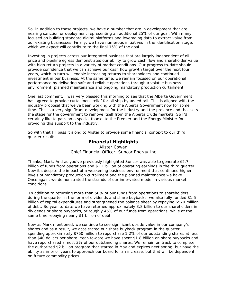So, in addition to those projects, we have a number that are in development that are nearing sanction or deployment representing an additional 25% of our goal. With many focused on building standard digital platforms and leveraging data to extract value from our existing businesses. Finally, we have numerous initiatives in the identification stage, which we expect will contribute to the final 15% of the goal.

Investing in projects across our integrated business that are largely independent of oil price and pipeline egress demonstrates our ability to grow cash flow and shareholder value with high return projects in a variety of market conditions. Our progress to-date should provide confidence that we can achieve our cash flow growth target over the next four years, which in turn will enable increasing returns to shareholders and continued investment in our business. At the same time, we remain focused on our operational performance by delivering safe and reliable operations through a volatile business environment, planned maintenance and ongoing mandatory production curtailment.

One last comment, I was very pleased this morning to see that the Alberta Government has agreed to provide curtailment relief for oil ship by added rail. This is aligned with the industry proposal that we've been working with the Alberta Government now for some time. This is a very significant development for the industry and the province and that sets the stage for the government to remove itself from the Alberta crude markets. So I'd certainly like to pass on a special thanks to the Premier and the Energy Minister for providing this support to the industry.

So with that I'll pass it along to Alister to provide some financial context to our third quarter results.

## **Financial Highlights**

Alister Cowan *Chief Financial Officer, Suncor Energy Inc.*

Thanks, Mark. And as you've previously highlighted Suncor was able to generate \$2.7 billion of funds from operations and \$1.1 billion of operating earnings in the third quarter. Now it's despite the impact of a weakening business environment that continued higher levels of mandatory production curtailment and the planned maintenance we have. Once again, we demonstrated the strands of our innervated model in various market conditions.

In addition to returning more than 50% of our funds from operations to shareholders during the quarter in the form of dividends and share buybacks, we also fully funded \$1.5 billion of capital expenditures and strengthened the balance sheet by repaying \$570 million of debt. So year-to-date we have returned approximately 3.8 billion to our shareholders in dividends or share buybacks, or roughly 46% of our funds from operations, while at the same time repaying nearly \$1 billion of debt.

Now as Mark mentioned, we continue to see significant upside value in our company's shares and as a result, we accelerated our share buyback program in the quarter, spending approximately \$760 million to repurchase 1.2% of our outstanding shares at less than \$40 dollars per share. Year-to-date we have spent \$1.8 billion on share buybacks and have repurchased almost 3% of our outstanding shares. We remain on track to complete the authorized \$2 billion program that started in May and expires next spring, but have the ability as in prior years to approach our board for an increase, but that will be dependent on future commodity prices.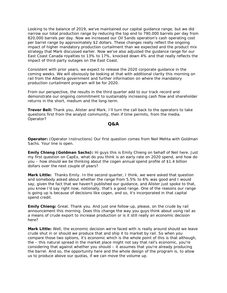Looking to the balance of 2019, we've maintained our capital guidance range, but we did narrow our total production range by reducing the top end to 790,000 barrels per day from 820,000 barrels per day. Now we increased our Oil Sands operation's cash operating cost per barrel range by approximately \$2 dollars. These changes really reflect the ongoing impact of higher mandatory production curtailment than we expected and the product mix strategy that Mark discussed earlier. Now we've also adjusted the guidance range for our East Coast Canada royalties to 13% to 17%, knocked down 4% and that really reflects the impact of third-party outages on the East Coast.

Consistent with prior years, we expect to release the 2020 corporate guidance in the coming weeks. We will obviously be looking at that with additional clarity this morning on rail from the Alberta government and further information on where the mandatory production curtailment program will be for 2020.

From our perspective, the results in the third quarter add to our track record and demonstrate our ongoing commitment to sustainably increasing cash flow and shareholder returns in the short, medium and the long-term.

**Trevor Bell:** Thank you, Alister and Mark. I'll turn the call back to the operators to take questions first from the analyst community, then if time permits, from the media. Operator?

#### **Q&A**

**Operator:** (Operator Instructions) Our first question comes from Neil Mehta with Goldman Sachs. Your line is open.

**Emily Chieng (Goldman Sachs):** Hi guys this is Emily Chieng on behalf of Neil here. Just my first question on CapEx, what do you think is an early rate on 2020 spend, and how do you – how should we be thinking about the cogen annual spend profile of \$1.4 billion dollars over the next couple of years?

**Mark Little:** Thanks Emily. In the second quarter, I think, we were asked that question and somebody asked about whether the range from 5.5% to 6% was good and I would say, given the fact that we haven't published our guidance, and Alister just spoke to that, you know I'd say right now, notionally, that's a good range. One of the reasons our range is going up is because of decisions like cogen, and so, it's incorporated in that capital spend credit.

**Emily Chieng:** Great. Thank you. And just one follow-up, please, on the crude by rail announcement this morning. Does this change the way you guys think about using rail as a means of crude export to increase production or is it still really an economic decision here?

**Mark Little:** Well, the economic decision we're faced with is really around should we leave crude shut in or should we produce that and ship it to market by rail. So when you compare those two options, it's economic which is the whole point of this is that although, the – this natural spread in the market place might not say that rail's economic, you're considering that against whether you should – it assumes that you're already producing the barrel. And so, the opportunity here and the whole design of the program is, to allow us to produce above our quotas, if we can move the volume up.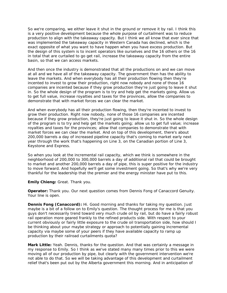So we're comparing, we either leave it shut in the ground or remove it by rail. I think this is a very positive development because the whole purpose of curtailment was to reduce production to align with the takeaway capacity. But I think we all know that ever since that was implemented the takeaway capacity in Western Canada has declined, which is the exact opposite of what you want to have happen when you have excess production. But the design of this system is to incent operators like ourselves and the 16 others or the 16 in total that are curtailed to go get rail, increase the takeaway capacity from the entire basin, so that we can access markets.

And then once the industry is demonstrated that all the productions on and we can move at all and we have all of the takeaway capacity. The government then has the ability to leave the markets. And when everybody has all their production flowing then they're incented to invest to grow their production, right now nobody and none of those 16 companies are incented because if they grow production they're just going to leave it shut in. So the whole design of the program is to try and help get the markets going. Allow us to get full value, increase royalties and taxes for the provinces, allow the companies to demonstrate that with market forces we can clear the market.

And when everybody has all their production flowing, then they're incented to invest to grow their production. Right now nobody, none of those 16 companies are incented because if they grow production, they're just going to leave it shut in. So the whole design of the program is to try and help get the markets going; allow us to get full value; increase royalties and taxes for the provinces; allow that companies to demonstrate that with market forces we can clear the market. And on top of this development, there's about 200,000 barrels a day of increased pipeline capacity that's coming to market early next year through the work that's happening on Line 3, on the Canadian portion of Line 3, Keystone and Express.

So when you look at the incremental rail capacity, which we think is somewhere in the neighborhood of 200,000 to 300,000 barrels a day of additional rail that could be brought to market and another 200,000 barrels a day of pipe, this is super positive for the industry to move forward. And hopefully we'll get some investment going. So that's why we're very thankful for the leadership that the premier and the energy minister have put to this.

**Emily Chieng:** Great. Thank you.

**Operator:** Thank you. Our next question comes from Dennis Fong of Canaccord Genuity. Your line is open.

**Dennis Fong (Canaccord):** Hi. Good morning and thanks for taking my question. Just maybe is a bit of a follow on to Emily's question. The thought process for me is that you guys don't necessarily trend toward very much crude oil by rail, but do have a fairly robust rail operation more geared frankly to the refined products side. With respect to your current obviously or fairly little exposure to the crude oil transportation side, how should I be thinking about your maybe strategy or approach to potentially gaining incremental capacity via maybe some of your peers if they have available capacity to ramp up production by their railroad curtailments quota?

**Mark Little:** Yeah. Dennis, thanks for the question. And that was certainly a message in my response to Emily. So I think as we've stated many many times prior to this we were moving all of our production by pipe, but clearly with the government intervention we're not able to do that. So we will be taking advantage of this development and curtailment relief that's been put out by the Alberta government this morning. And in anticipation of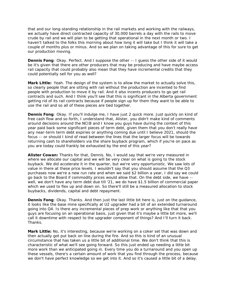that and our long-standing relationship in the rail markets and working with the railways, we actually have direct contracted capacity of 30,000 barrels a day with the rails to move crude by rail and we will plan to be getting that operational in the next month or two. I haven't talked to the folks this morning about how long it will take but I think it will take a couple of months plus or minus. And so we plan on taking advantage of this for sure to get our production moving.

**Dennis Fong**: Okay. Perfect. And I suppose the other -- I guess the other side of it would be it's given that there are other producers that may be producing and have maybe access rail capacity that could probably also mean that they have incremental credits that they could potentially sell for you as well?

**Mark Little:** Yeah. The design of the system is to allow the market to actually solve this, so clearly people that are sitting with rail without the production are incented to find people with production to move it by rail. And it also incents producers to go get rail contracts and such. And I think you'll see that this is significant in the Alberta government getting rid of its rail contracts because if people sign up for them they want to be able to use the rail and so all of these pieces are tied together.

**Dennis Fong**: Okay. If you'll indulge me, I have just 2 quick more. Just quickly on kind of free cash flow and so forth, I understand that, Alister, you didn't make kind of comments around decisions around the NCIB and I know you guys have during the context of this year paid back some significant pieces of term debt, given them that you don't really have any near-term term debt expiries or anything coming due until I believe 2021, should the focus -- or should I kind of read between the lines that the larger focus will be towards returning cash to shareholders via the share buyback program, which if you're on pace as you are today could frankly be exhausted by the end of this year?

**Alister Cowan:** Thanks for that, Dennis. No, I would say that we're very measured in where we allocate our capital and we will be very clear on what is going to the stock buyback. We did accelerate it in the quarter, but we're very opportunistic. We saw lots of value in there at these price levels. I wouldn't say that you should assume that the Q3 purchases now we're a new run rate and when we said \$2 billion a year, I did say we could go back to the Board if commodity prices would allow that. On the debt side, we have - well, we don't have any term debt due till '21, we do have \$1.5 billion of commercial paper which we used to flex up and down on. So there'll still be a measured allocation to stock buybacks, dividends, capital and debt repayment.

**Dennis Fong**: Okay. Thanks. And then just the last little bit here is, just on the guidance, it looks like the base mine specifically at U2 upgrader had a bit of an extended turnaround going into Q4. Is there any incremental pieces of prep work or anything like that that you guys are focusing on an operational basis, just given that it's maybe a little bit more, we'll call it downtime with respect to the upgrader component of things? And I'll turn it back. Thanks.

**Mark Little:** No, it's interesting, because we're working on a coker set that was down and then actually got put back on line during the fire. And so this is kind of an unusual circumstance that has taken us a little bit of additional time. We don't think that this is characteristic of what we'll see going forward. So this just ended up needing a little bit more work than we anticipated going in. Every time you do a turnaround and you open up these vessels, there's a certain amount of work that you find through the process, because we don't have perfect knowledge so we get into it. And so it's caused a little bit of a delay.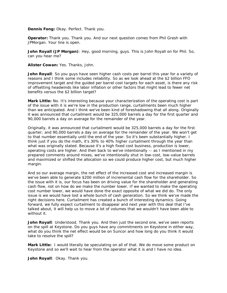**Dennis Fong:** Okay. Perfect. Thank you.

**Operator:** Thank you. Thank you. And our next question comes from Phil Gresh with JPMorgan. Your line is open.

**John Royall (JP Morgan)**: Hey, good morning, guys. This is John Royall on for Phil. So, can you hear me?

**Alister Cowan:** Yes. Thanks, John.

**John Royall**: So you guys have seen higher cash costs per barrel this year for a variety of reasons and I think some includes reliability. So as we look ahead at the \$2 billion FFO improvement target and the guided per barrel cost targets for each asset, is there any risk of offsetting headwinds like labor inflation or other factors that might lead to fewer net benefits versus the \$2 billion target?

**Mark Little:** No. It's interesting because your characterization of the operating cost is part of the issue with it is we're low in the production range, curtailments been much higher than we anticipated. And I think we've been kind of foreshadowing that all along. Originally it was announced that curtailment would be 325,000 barrels a day for the first quarter and 90,000 barrels a day on average for the remainder of the year.

Originally, it was announced that curtailment would be 325,000 barrels a day for the first quarter; and 90,000 barrels a day on average for the remainder of the year. We won't get to that number essentially until the end of the year. So it's been substantially higher. I think just if you do the math, it's 30% to 40% higher curtailment through the year than what was originally stated. Because it's a high fixed cost business, production is lower, operating costs are higher. And then back to we've intentionally -- as I mentioned in my prepared comments around mixes, we've intentionally shut in low-cost, low-value barrels and maximized or shifted the allocation so we could produce higher cost, but much higher margin.

And so our average margin, the net effect of the increased cost and increased margin is we've been able to generate \$200 million of incremental cash flow for the shareholder. So the issue with it is, our focus has been on driving value for the shareholder and generating cash flow, not on how do we make the number lower. If we wanted to make the operating cost number lower, we would have done the exact opposite of what we did do. The only issue is we would have lost a whole bunch of cash generation. So we think we've made the right decisions here. Curtailment has created a bunch of interesting dynamics. Going forward, we fully expect curtailment to disappear and next year with this deal that I've talked about, it will help us to move a lot of volumes that we wouldn't have been able to without it.

**John Royall**: Understood. Thank you. And then just the second one, we've seen reports on the spill at Keystone. Do you guys have any commitments on Keystone in either way, what do you think the net effect would be on Suncor and how long do you think it would take to resolve the spill?

**Mark Little:** I would literally be speculating on all of that. We do move some product on Keystone and so we'll wait to hear from the operator what it is and I have no idea.

**John Royall**: Okay. Thank you.